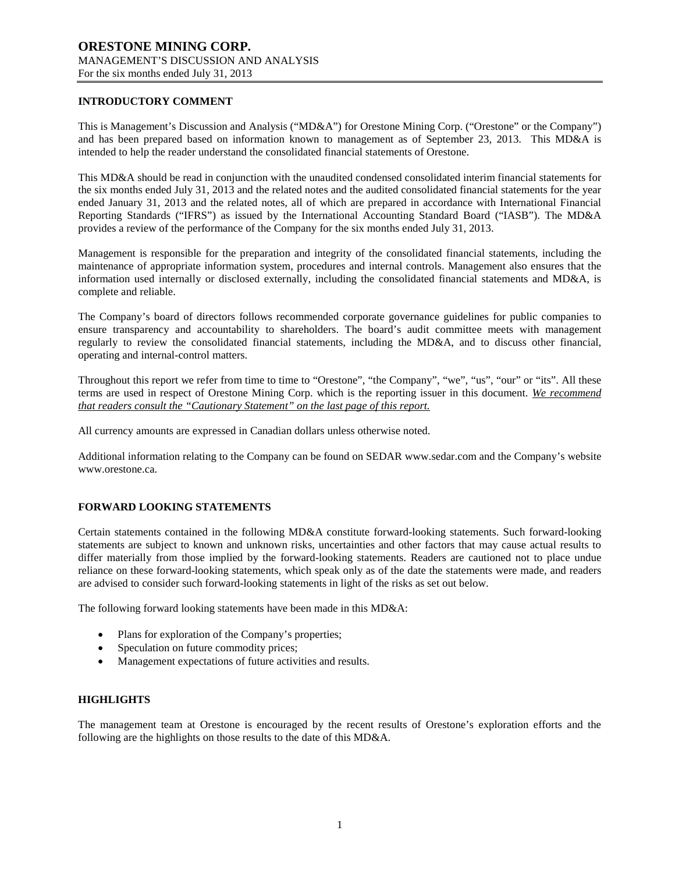### **INTRODUCTORY COMMENT**

This is Management's Discussion and Analysis ("MD&A") for Orestone Mining Corp. ("Orestone" or the Company") and has been prepared based on information known to management as of September 23, 2013. This MD&A is intended to help the reader understand the consolidated financial statements of Orestone.

This MD&A should be read in conjunction with the unaudited condensed consolidated interim financial statements for the six months ended July 31, 2013 and the related notes and the audited consolidated financial statements for the year ended January 31, 2013 and the related notes, all of which are prepared in accordance with International Financial Reporting Standards ("IFRS") as issued by the International Accounting Standard Board ("IASB"). The MD&A provides a review of the performance of the Company for the six months ended July 31, 2013.

Management is responsible for the preparation and integrity of the consolidated financial statements, including the maintenance of appropriate information system, procedures and internal controls. Management also ensures that the information used internally or disclosed externally, including the consolidated financial statements and MD&A, is complete and reliable.

The Company's board of directors follows recommended corporate governance guidelines for public companies to ensure transparency and accountability to shareholders. The board's audit committee meets with management regularly to review the consolidated financial statements, including the MD&A, and to discuss other financial, operating and internal-control matters.

Throughout this report we refer from time to time to "Orestone", "the Company", "we", "us", "our" or "its". All these terms are used in respect of Orestone Mining Corp. which is the reporting issuer in this document. *We recommend that readers consult the "Cautionary Statement" on the last page of this report.*

All currency amounts are expressed in Canadian dollars unless otherwise noted.

Additional information relating to the Company can be found on SEDAR www.sedar.com and the Company's website www.orestone.ca.

### **FORWARD LOOKING STATEMENTS**

Certain statements contained in the following MD&A constitute forward-looking statements. Such forward-looking statements are subject to known and unknown risks, uncertainties and other factors that may cause actual results to differ materially from those implied by the forward-looking statements. Readers are cautioned not to place undue reliance on these forward-looking statements, which speak only as of the date the statements were made, and readers are advised to consider such forward-looking statements in light of the risks as set out below.

The following forward looking statements have been made in this MD&A:

- Plans for exploration of the Company's properties;
- Speculation on future commodity prices;
- Management expectations of future activities and results.

#### **HIGHLIGHTS**

The management team at Orestone is encouraged by the recent results of Orestone's exploration efforts and the following are the highlights on those results to the date of this MD&A.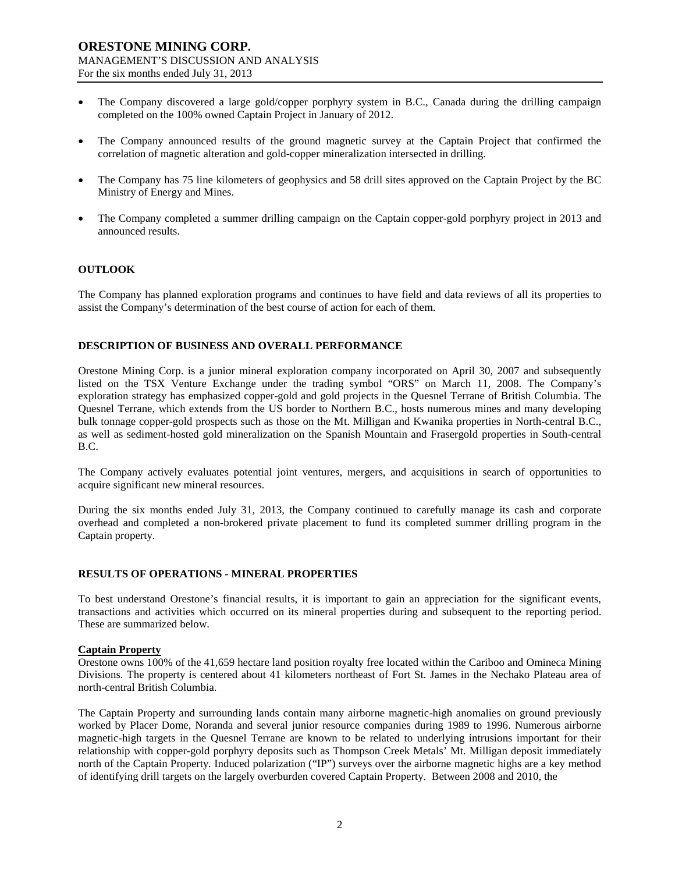- The Company discovered a large gold/copper porphyry system in B.C., Canada during the drilling campaign completed on the 100% owned Captain Project in January of 2012.
- The Company announced results of the ground magnetic survey at the Captain Project that confirmed the correlation of magnetic alteration and gold-copper mineralization intersected in drilling.
- The Company has 75 line kilometers of geophysics and 58 drill sites approved on the Captain Project by the BC Ministry of Energy and Mines.
- The Company completed a summer drilling campaign on the Captain copper-gold porphyry project in 2013 and announced results.

### **OUTLOOK**

The Company has planned exploration programs and continues to have field and data reviews of all its properties to assist the Company's determination of the best course of action for each of them.

### **DESCRIPTION OF BUSINESS AND OVERALL PERFORMANCE**

Orestone Mining Corp. is a junior mineral exploration company incorporated on April 30, 2007 and subsequently listed on the TSX Venture Exchange under the trading symbol "ORS" on March 11, 2008. The Company's exploration strategy has emphasized copper-gold and gold projects in the Quesnel Terrane of British Columbia. The Quesnel Terrane, which extends from the US border to Northern B.C., hosts numerous mines and many developing bulk tonnage copper-gold prospects such as those on the Mt. Milligan and Kwanika properties in North-central B.C., as well as sediment-hosted gold mineralization on the Spanish Mountain and Frasergold properties in South-central B.C.

The Company actively evaluates potential joint ventures, mergers, and acquisitions in search of opportunities to acquire significant new mineral resources.

During the six months ended July 31, 2013, the Company continued to carefully manage its cash and corporate overhead and completed a non-brokered private placement to fund its completed summer drilling program in the Captain property.

#### **RESULTS OF OPERATIONS - MINERAL PROPERTIES**

To best understand Orestone's financial results, it is important to gain an appreciation for the significant events, transactions and activities which occurred on its mineral properties during and subsequent to the reporting period. These are summarized below.

#### **Captain Property**

Orestone owns 100% of the 41,659 hectare land position royalty free located within the Cariboo and Omineca Mining Divisions. The property is centered about 41 kilometers northeast of Fort St. James in the Nechako Plateau area of north-central British Columbia.

The Captain Property and surrounding lands contain many airborne magnetic-high anomalies on ground previously worked by Placer Dome, Noranda and several junior resource companies during 1989 to 1996. Numerous airborne magnetic-high targets in the Quesnel Terrane are known to be related to underlying intrusions important for their relationship with copper-gold porphyry deposits such as Thompson Creek Metals' Mt. Milligan deposit immediately north of the Captain Property. Induced polarization ("IP") surveys over the airborne magnetic highs are a key method of identifying drill targets on the largely overburden covered Captain Property. Between 2008 and 2010, the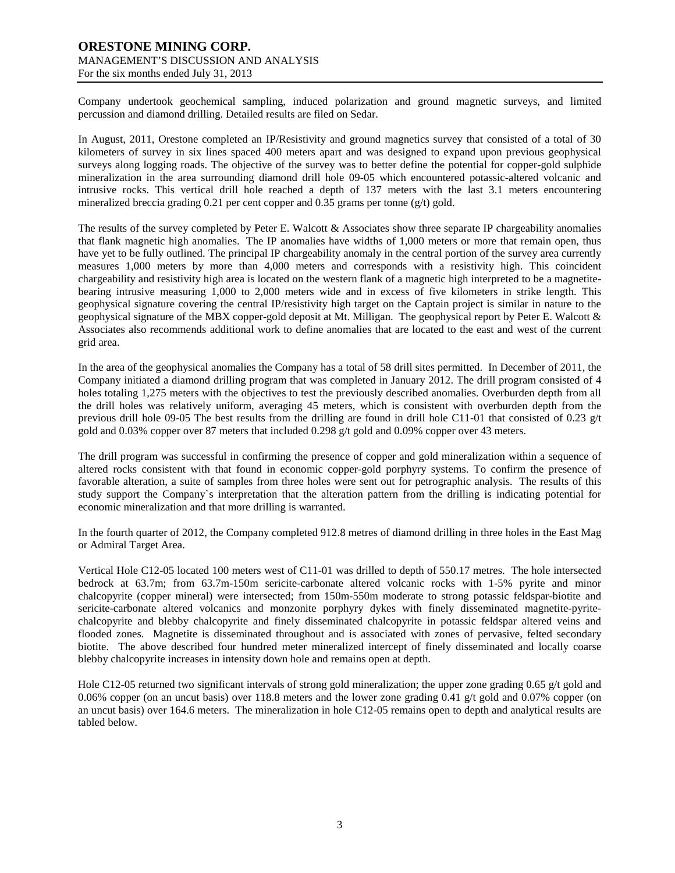Company undertook geochemical sampling, induced polarization and ground magnetic surveys, and limited percussion and diamond drilling. Detailed results are filed on Sedar.

In August, 2011, Orestone completed an IP/Resistivity and ground magnetics survey that consisted of a total of 30 kilometers of survey in six lines spaced 400 meters apart and was designed to expand upon previous geophysical surveys along logging roads. The objective of the survey was to better define the potential for copper-gold sulphide mineralization in the area surrounding diamond drill hole 09-05 which encountered potassic-altered volcanic and intrusive rocks. This vertical drill hole reached a depth of 137 meters with the last 3.1 meters encountering mineralized breccia grading 0.21 per cent copper and 0.35 grams per tonne (g/t) gold.

The results of the survey completed by Peter E. Walcott & Associates show three separate IP chargeability anomalies that flank magnetic high anomalies. The IP anomalies have widths of 1,000 meters or more that remain open, thus have yet to be fully outlined. The principal IP chargeability anomaly in the central portion of the survey area currently measures 1,000 meters by more than 4,000 meters and corresponds with a resistivity high. This coincident chargeability and resistivity high area is located on the western flank of a magnetic high interpreted to be a magnetitebearing intrusive measuring 1,000 to 2,000 meters wide and in excess of five kilometers in strike length. This geophysical signature covering the central IP/resistivity high target on the Captain project is similar in nature to the geophysical signature of the MBX copper-gold deposit at Mt. Milligan. The geophysical report by Peter E. Walcott & Associates also recommends additional work to define anomalies that are located to the east and west of the current grid area.

In the area of the geophysical anomalies the Company has a total of 58 drill sites permitted. In December of 2011, the Company initiated a diamond drilling program that was completed in January 2012. The drill program consisted of 4 holes totaling 1,275 meters with the objectives to test the previously described anomalies. Overburden depth from all the drill holes was relatively uniform, averaging 45 meters, which is consistent with overburden depth from the previous drill hole 09-05 The best results from the drilling are found in drill hole C11-01 that consisted of 0.23 g/t gold and 0.03% copper over 87 meters that included 0.298 g/t gold and 0.09% copper over 43 meters.

The drill program was successful in confirming the presence of copper and gold mineralization within a sequence of altered rocks consistent with that found in economic copper-gold porphyry systems. To confirm the presence of favorable alteration, a suite of samples from three holes were sent out for petrographic analysis. The results of this study support the Company`s interpretation that the alteration pattern from the drilling is indicating potential for economic mineralization and that more drilling is warranted.

In the fourth quarter of 2012, the Company completed 912.8 metres of diamond drilling in three holes in the East Mag or Admiral Target Area.

Vertical Hole C12-05 located 100 meters west of C11-01 was drilled to depth of 550.17 metres. The hole intersected bedrock at 63.7m; from 63.7m-150m sericite-carbonate altered volcanic rocks with 1-5% pyrite and minor chalcopyrite (copper mineral) were intersected; from 150m-550m moderate to strong potassic feldspar-biotite and sericite-carbonate altered volcanics and monzonite porphyry dykes with finely disseminated magnetite-pyritechalcopyrite and blebby chalcopyrite and finely disseminated chalcopyrite in potassic feldspar altered veins and flooded zones. Magnetite is disseminated throughout and is associated with zones of pervasive, felted secondary biotite. The above described four hundred meter mineralized intercept of finely disseminated and locally coarse blebby chalcopyrite increases in intensity down hole and remains open at depth.

Hole C12-05 returned two significant intervals of strong gold mineralization; the upper zone grading 0.65 g/t gold and 0.06% copper (on an uncut basis) over 118.8 meters and the lower zone grading 0.41 g/t gold and 0.07% copper (on an uncut basis) over 164.6 meters. The mineralization in hole C12-05 remains open to depth and analytical results are tabled below.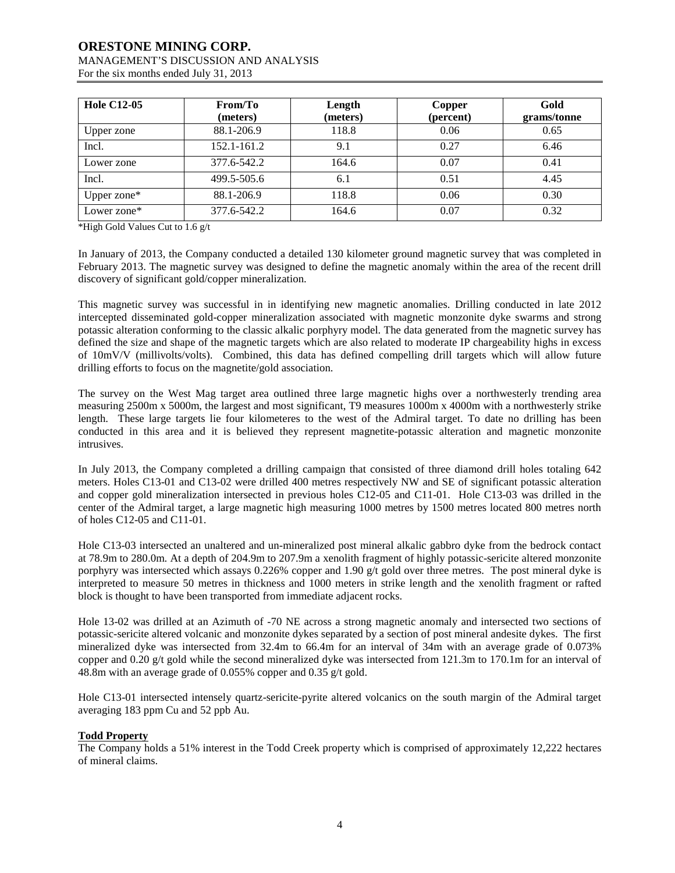# **ORESTONE MINING CORP.** MANAGEMENT'S DISCUSSION AND ANALYSIS

| For the six months ended July 31, 2013 |  |
|----------------------------------------|--|
|                                        |  |

| <b>Hole C12-05</b> | From/To<br>(meters) | Length<br>(meters) | Copper<br>(percent) | Gold<br>grams/tonne |
|--------------------|---------------------|--------------------|---------------------|---------------------|
| Upper zone         | 88.1-206.9          | 118.8              | 0.06                | 0.65                |
| Incl.              | 152.1-161.2         | 9.1                | 0.27                | 6.46                |
| Lower zone         | 377.6-542.2         | 164.6              | 0.07                | 0.41                |
| Incl.              | 499.5-505.6         | 6.1                | 0.51                | 4.45                |
| Upper zone*        | 88.1-206.9          | 118.8              | 0.06                | 0.30                |
| Lower zone*        | 377.6-542.2         | 164.6              | 0.07                | 0.32                |

\*High Gold Values Cut to 1.6 g/t

In January of 2013, the Company conducted a detailed 130 kilometer ground magnetic survey that was completed in February 2013. The magnetic survey was designed to define the magnetic anomaly within the area of the recent drill discovery of significant gold/copper mineralization.

This magnetic survey was successful in in identifying new magnetic anomalies. Drilling conducted in late 2012 intercepted disseminated gold-copper mineralization associated with magnetic monzonite dyke swarms and strong potassic alteration conforming to the classic alkalic porphyry model. The data generated from the magnetic survey has defined the size and shape of the magnetic targets which are also related to moderate IP chargeability highs in excess of 10mV/V (millivolts/volts). Combined, this data has defined compelling drill targets which will allow future drilling efforts to focus on the magnetite/gold association.

The survey on the West Mag target area outlined three large magnetic highs over a northwesterly trending area measuring 2500m x 5000m, the largest and most significant, T9 measures 1000m x 4000m with a northwesterly strike length. These large targets lie four kilometeres to the west of the Admiral target. To date no drilling has been conducted in this area and it is believed they represent magnetite-potassic alteration and magnetic monzonite intrusives.

In July 2013, the Company completed a drilling campaign that consisted of three diamond drill holes totaling 642 meters. Holes C13-01 and C13-02 were drilled 400 metres respectively NW and SE of significant potassic alteration and copper gold mineralization intersected in previous holes C12-05 and C11-01. Hole C13-03 was drilled in the center of the Admiral target, a large magnetic high measuring 1000 metres by 1500 metres located 800 metres north of holes C12-05 and C11-01.

Hole C13-03 intersected an unaltered and un-mineralized post mineral alkalic gabbro dyke from the bedrock contact at 78.9m to 280.0m. At a depth of 204.9m to 207.9m a xenolith fragment of highly potassic-sericite altered monzonite porphyry was intersected which assays 0.226% copper and 1.90  $g/t$  gold over three metres. The post mineral dyke is interpreted to measure 50 metres in thickness and 1000 meters in strike length and the xenolith fragment or rafted block is thought to have been transported from immediate adjacent rocks.

Hole 13-02 was drilled at an Azimuth of -70 NE across a strong magnetic anomaly and intersected two sections of potassic-sericite altered volcanic and monzonite dykes separated by a section of post mineral andesite dykes. The first mineralized dyke was intersected from 32.4m to 66.4m for an interval of 34m with an average grade of 0.073% copper and 0.20 g/t gold while the second mineralized dyke was intersected from 121.3m to 170.1m for an interval of 48.8m with an average grade of 0.055% copper and 0.35 g/t gold.

Hole C13-01 intersected intensely quartz-sericite-pyrite altered volcanics on the south margin of the Admiral target averaging 183 ppm Cu and 52 ppb Au.

### **Todd Property**

The Company holds a 51% interest in the Todd Creek property which is comprised of approximately 12,222 hectares of mineral claims.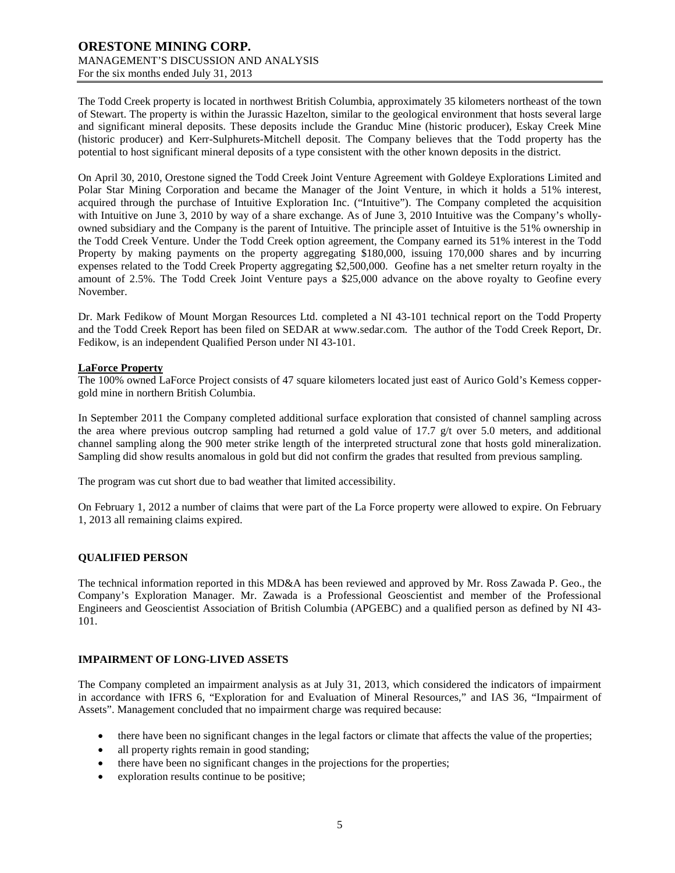The Todd Creek property is located in northwest British Columbia, approximately 35 kilometers northeast of the town of Stewart. The property is within the Jurassic Hazelton, similar to the geological environment that hosts several large and significant mineral deposits. These deposits include the Granduc Mine (historic producer), Eskay Creek Mine (historic producer) and Kerr-Sulphurets-Mitchell deposit. The Company believes that the Todd property has the potential to host significant mineral deposits of a type consistent with the other known deposits in the district.

On April 30, 2010, Orestone signed the Todd Creek Joint Venture Agreement with Goldeye Explorations Limited and Polar Star Mining Corporation and became the Manager of the Joint Venture, in which it holds a 51% interest, acquired through the purchase of Intuitive Exploration Inc. ("Intuitive"). The Company completed the acquisition with Intuitive on June 3, 2010 by way of a share exchange. As of June 3, 2010 Intuitive was the Company's whollyowned subsidiary and the Company is the parent of Intuitive. The principle asset of Intuitive is the 51% ownership in the Todd Creek Venture. Under the Todd Creek option agreement, the Company earned its 51% interest in the Todd Property by making payments on the property aggregating \$180,000, issuing 170,000 shares and by incurring expenses related to the Todd Creek Property aggregating \$2,500,000. Geofine has a net smelter return royalty in the amount of 2.5%. The Todd Creek Joint Venture pays a \$25,000 advance on the above royalty to Geofine every November.

Dr. Mark Fedikow of Mount Morgan Resources Ltd. completed a NI 43-101 technical report on the Todd Property and the Todd Creek Report has been filed on SEDAR at [www.sedar.com.](http://www.sedar.com/) The author of the Todd Creek Report, Dr. Fedikow, is an independent Qualified Person under NI 43-101.

#### **LaForce Property**

The 100% owned LaForce Project consists of 47 square kilometers located just east of Aurico Gold's Kemess coppergold mine in northern British Columbia.

In September 2011 the Company completed additional surface exploration that consisted of channel sampling across the area where previous outcrop sampling had returned a gold value of 17.7 g/t over 5.0 meters, and additional channel sampling along the 900 meter strike length of the interpreted structural zone that hosts gold mineralization. Sampling did show results anomalous in gold but did not confirm the grades that resulted from previous sampling.

The program was cut short due to bad weather that limited accessibility.

On February 1, 2012 a number of claims that were part of the La Force property were allowed to expire. On February 1, 2013 all remaining claims expired.

### **QUALIFIED PERSON**

The technical information reported in this MD&A has been reviewed and approved by Mr. Ross Zawada P. Geo., the Company's Exploration Manager. Mr. Zawada is a Professional Geoscientist and member of the Professional Engineers and Geoscientist Association of British Columbia (APGEBC) and a qualified person as defined by NI 43- 101.

#### **IMPAIRMENT OF LONG-LIVED ASSETS**

The Company completed an impairment analysis as at July 31, 2013, which considered the indicators of impairment in accordance with IFRS 6, "Exploration for and Evaluation of Mineral Resources," and IAS 36, "Impairment of Assets". Management concluded that no impairment charge was required because:

- there have been no significant changes in the legal factors or climate that affects the value of the properties;
- all property rights remain in good standing;
- there have been no significant changes in the projections for the properties;
- exploration results continue to be positive;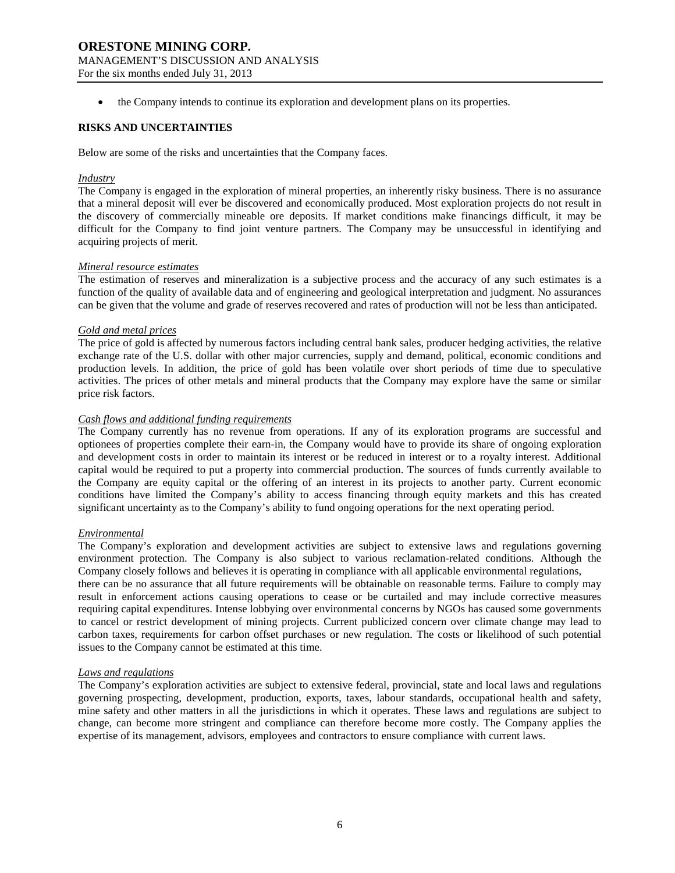• the Company intends to continue its exploration and development plans on its properties.

### **RISKS AND UNCERTAINTIES**

Below are some of the risks and uncertainties that the Company faces.

#### *Industry*

The Company is engaged in the exploration of mineral properties, an inherently risky business. There is no assurance that a mineral deposit will ever be discovered and economically produced. Most exploration projects do not result in the discovery of commercially mineable ore deposits. If market conditions make financings difficult, it may be difficult for the Company to find joint venture partners. The Company may be unsuccessful in identifying and acquiring projects of merit.

### *Mineral resource estimates*

The estimation of reserves and mineralization is a subjective process and the accuracy of any such estimates is a function of the quality of available data and of engineering and geological interpretation and judgment. No assurances can be given that the volume and grade of reserves recovered and rates of production will not be less than anticipated.

#### *Gold and metal prices*

The price of gold is affected by numerous factors including central bank sales, producer hedging activities, the relative exchange rate of the U.S. dollar with other major currencies, supply and demand, political, economic conditions and production levels. In addition, the price of gold has been volatile over short periods of time due to speculative activities. The prices of other metals and mineral products that the Company may explore have the same or similar price risk factors.

### *Cash flows and additional funding requirements*

The Company currently has no revenue from operations. If any of its exploration programs are successful and optionees of properties complete their earn-in, the Company would have to provide its share of ongoing exploration and development costs in order to maintain its interest or be reduced in interest or to a royalty interest. Additional capital would be required to put a property into commercial production. The sources of funds currently available to the Company are equity capital or the offering of an interest in its projects to another party. Current economic conditions have limited the Company's ability to access financing through equity markets and this has created significant uncertainty as to the Company's ability to fund ongoing operations for the next operating period.

#### *Environmental*

The Company's exploration and development activities are subject to extensive laws and regulations governing environment protection. The Company is also subject to various reclamation-related conditions. Although the Company closely follows and believes it is operating in compliance with all applicable environmental regulations,

there can be no assurance that all future requirements will be obtainable on reasonable terms. Failure to comply may result in enforcement actions causing operations to cease or be curtailed and may include corrective measures requiring capital expenditures. Intense lobbying over environmental concerns by NGOs has caused some governments to cancel or restrict development of mining projects. Current publicized concern over climate change may lead to carbon taxes, requirements for carbon offset purchases or new regulation. The costs or likelihood of such potential issues to the Company cannot be estimated at this time.

#### *Laws and regulations*

The Company's exploration activities are subject to extensive federal, provincial, state and local laws and regulations governing prospecting, development, production, exports, taxes, labour standards, occupational health and safety, mine safety and other matters in all the jurisdictions in which it operates. These laws and regulations are subject to change, can become more stringent and compliance can therefore become more costly. The Company applies the expertise of its management, advisors, employees and contractors to ensure compliance with current laws.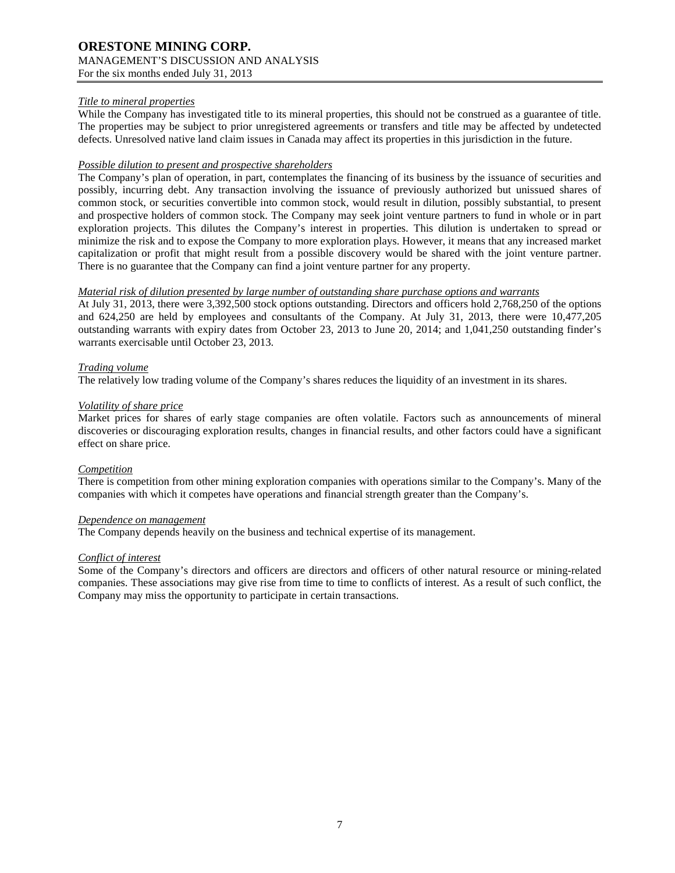### *Title to mineral properties*

While the Company has investigated title to its mineral properties, this should not be construed as a guarantee of title. The properties may be subject to prior unregistered agreements or transfers and title may be affected by undetected defects. Unresolved native land claim issues in Canada may affect its properties in this jurisdiction in the future.

### *Possible dilution to present and prospective shareholders*

The Company's plan of operation, in part, contemplates the financing of its business by the issuance of securities and possibly, incurring debt. Any transaction involving the issuance of previously authorized but unissued shares of common stock, or securities convertible into common stock, would result in dilution, possibly substantial, to present and prospective holders of common stock. The Company may seek joint venture partners to fund in whole or in part exploration projects. This dilutes the Company's interest in properties. This dilution is undertaken to spread or minimize the risk and to expose the Company to more exploration plays. However, it means that any increased market capitalization or profit that might result from a possible discovery would be shared with the joint venture partner. There is no guarantee that the Company can find a joint venture partner for any property.

### *Material risk of dilution presented by large number of outstanding share purchase options and warrants*

At July 31, 2013, there were 3,392,500 stock options outstanding. Directors and officers hold 2,768,250 of the options and 624,250 are held by employees and consultants of the Company. At July 31, 2013, there were 10,477,205 outstanding warrants with expiry dates from October 23, 2013 to June 20, 2014; and 1,041,250 outstanding finder's warrants exercisable until October 23, 2013.

### *Trading volume*

The relatively low trading volume of the Company's shares reduces the liquidity of an investment in its shares.

### *Volatility of share price*

Market prices for shares of early stage companies are often volatile. Factors such as announcements of mineral discoveries or discouraging exploration results, changes in financial results, and other factors could have a significant effect on share price.

#### *Competition*

There is competition from other mining exploration companies with operations similar to the Company's. Many of the companies with which it competes have operations and financial strength greater than the Company's.

#### *Dependence on management*

The Company depends heavily on the business and technical expertise of its management.

### *Conflict of interest*

Some of the Company's directors and officers are directors and officers of other natural resource or mining-related companies. These associations may give rise from time to time to conflicts of interest. As a result of such conflict, the Company may miss the opportunity to participate in certain transactions.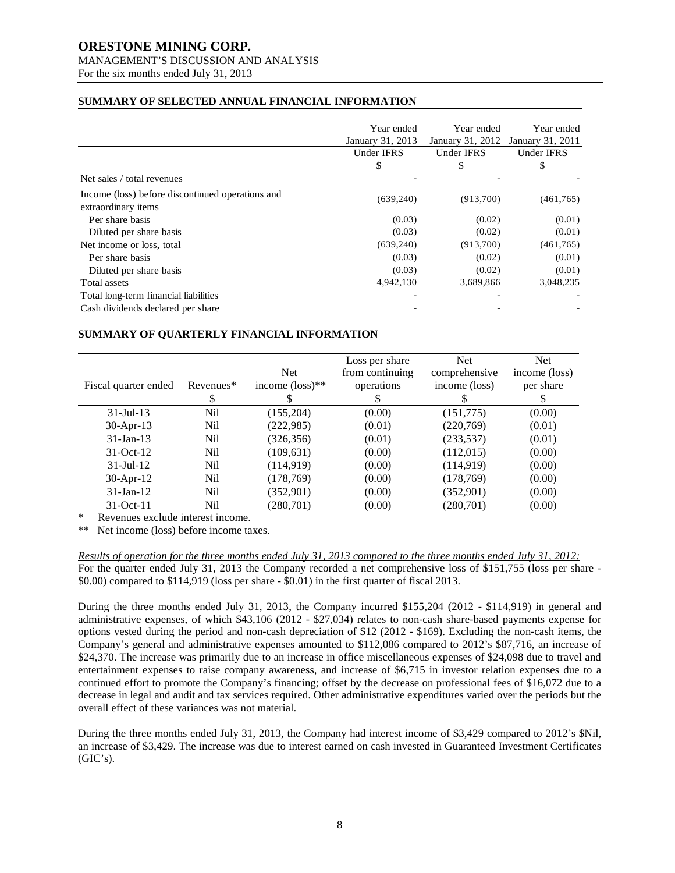### **ORESTONE MINING CORP.** MANAGEMENT'S DISCUSSION AND ANALYSIS

For the six months ended July 31, 2013

### **SUMMARY OF SELECTED ANNUAL FINANCIAL INFORMATION**

|                                                                         | Year ended<br>January 31, 2013 | Year ended<br>January 31, 2012 | Year ended<br>January 31, 2011 |
|-------------------------------------------------------------------------|--------------------------------|--------------------------------|--------------------------------|
|                                                                         | <b>Under IFRS</b>              | <b>Under IFRS</b>              | Under IFRS                     |
|                                                                         | \$                             | \$                             | \$                             |
| Net sales / total revenues                                              |                                |                                |                                |
| Income (loss) before discontinued operations and<br>extraordinary items | (639,240)                      | (913,700)                      | (461,765)                      |
| Per share basis                                                         | (0.03)                         | (0.02)                         | (0.01)                         |
| Diluted per share basis                                                 | (0.03)                         | (0.02)                         | (0.01)                         |
| Net income or loss, total                                               | (639,240)                      | (913,700)                      | (461,765)                      |
| Per share basis                                                         | (0.03)                         | (0.02)                         | (0.01)                         |
| Diluted per share basis                                                 | (0.03)                         | (0.02)                         | (0.01)                         |
| Total assets                                                            | 4,942,130                      | 3,689,866                      | 3,048,235                      |
| Total long-term financial liabilities                                   |                                |                                |                                |
| Cash dividends declared per share                                       |                                |                                |                                |

### **SUMMARY OF QUARTERLY FINANCIAL INFORMATION**

| Fiscal quarter ended                    | Revenues*<br>S | <b>Net</b><br>income $(\text{loss})^{**}$ | Loss per share<br>from continuing<br>operations<br>S | <b>Net</b><br>comprehensive<br>income (loss) | <b>Net</b><br>income (loss)<br>per share<br>S |
|-----------------------------------------|----------------|-------------------------------------------|------------------------------------------------------|----------------------------------------------|-----------------------------------------------|
| $31 -$ Jul $-13$                        | Nil            | (155,204)                                 | (0.00)                                               | (151,775)                                    | (0.00)                                        |
| 30-Apr-13                               | Nil            | (222, 985)                                | (0.01)                                               | (220,769)                                    | (0.01)                                        |
| $31$ -Jan-13                            | Nil            | (326, 356)                                | (0.01)                                               | (233, 537)                                   | (0.01)                                        |
| $31-Oct-12$                             | Nil            | (109, 631)                                | (0.00)                                               | (112,015)                                    | (0.00)                                        |
| $31$ -Jul-12                            | Nil            | (114, 919)                                | (0.00)                                               | (114, 919)                                   | (0.00)                                        |
| 30-Apr-12                               | Nil            | (178, 769)                                | (0.00)                                               | (178, 769)                                   | (0.00)                                        |
| $31$ -Jan-12                            | Nil            | (352,901)                                 | (0.00)                                               | (352,901)                                    | (0.00)                                        |
| $31-Oct-11$<br>$\mathbf{A}$<br>$\cdots$ | Nil            | (280,701)                                 | (0.00)                                               | (280,701)                                    | (0.00)                                        |

Revenues exclude interest income.

\*\* Net income (loss) before income taxes.

*Results of operation for the three months ended July 31, 2013 compared to the three months ended July 31, 2012:* For the quarter ended July 31, 2013 the Company recorded a net comprehensive loss of \$151,755 (loss per share - \$0.00) compared to \$114,919 (loss per share - \$0.01) in the first quarter of fiscal 2013.

During the three months ended July 31, 2013, the Company incurred \$155,204 (2012 - \$114,919) in general and administrative expenses, of which \$43,106 (2012 - \$27,034) relates to non-cash share-based payments expense for options vested during the period and non-cash depreciation of \$12 (2012 - \$169). Excluding the non-cash items, the Company's general and administrative expenses amounted to \$112,086 compared to 2012's \$87,716, an increase of \$24,370. The increase was primarily due to an increase in office miscellaneous expenses of \$24,098 due to travel and entertainment expenses to raise company awareness, and increase of \$6,715 in investor relation expenses due to a continued effort to promote the Company's financing; offset by the decrease on professional fees of \$16,072 due to a decrease in legal and audit and tax services required. Other administrative expenditures varied over the periods but the overall effect of these variances was not material.

During the three months ended July 31, 2013, the Company had interest income of \$3,429 compared to 2012's \$Nil, an increase of \$3,429. The increase was due to interest earned on cash invested in Guaranteed Investment Certificates  $(GIC's).$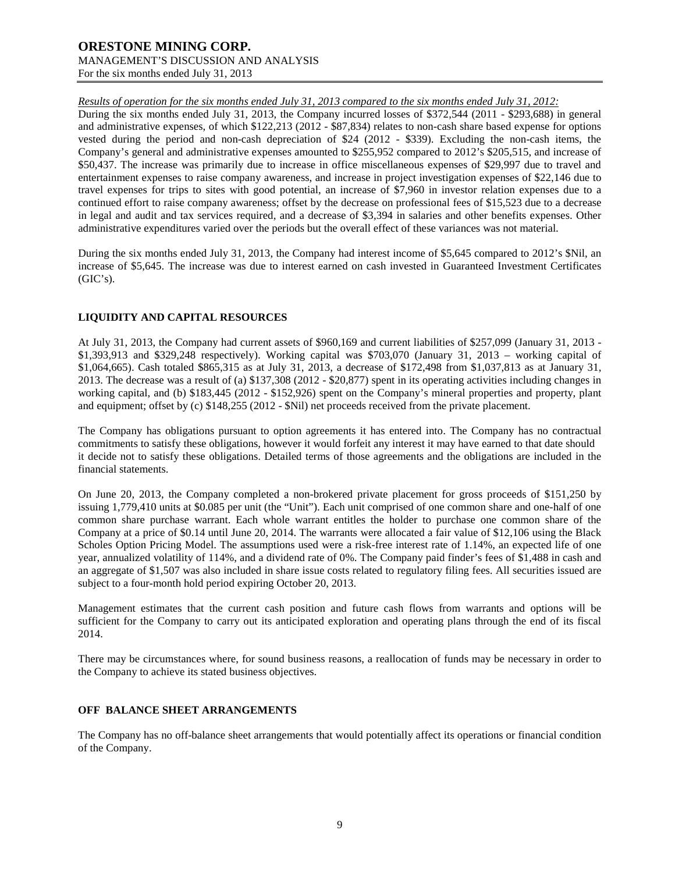*Results of operation for the six months ended July 31, 2013 compared to the six months ended July 31, 2012:*

During the six months ended July 31, 2013, the Company incurred losses of \$372,544 (2011 - \$293,688) in general and administrative expenses, of which \$122,213 (2012 - \$87,834) relates to non-cash share based expense for options vested during the period and non-cash depreciation of \$24 (2012 - \$339). Excluding the non-cash items, the Company's general and administrative expenses amounted to \$255,952 compared to 2012's \$205,515, and increase of \$50,437. The increase was primarily due to increase in office miscellaneous expenses of \$29,997 due to travel and entertainment expenses to raise company awareness, and increase in project investigation expenses of \$22,146 due to travel expenses for trips to sites with good potential, an increase of \$7,960 in investor relation expenses due to a continued effort to raise company awareness; offset by the decrease on professional fees of \$15,523 due to a decrease in legal and audit and tax services required, and a decrease of \$3,394 in salaries and other benefits expenses. Other administrative expenditures varied over the periods but the overall effect of these variances was not material.

During the six months ended July 31, 2013, the Company had interest income of \$5,645 compared to 2012's \$Nil, an increase of \$5,645. The increase was due to interest earned on cash invested in Guaranteed Investment Certificates  $(GIC's).$ 

### **LIQUIDITY AND CAPITAL RESOURCES**

At July 31, 2013, the Company had current assets of \$960,169 and current liabilities of \$257,099 (January 31, 2013 - \$1,393,913 and \$329,248 respectively). Working capital was \$703,070 (January 31, 2013 – working capital of \$1,064,665). Cash totaled \$865,315 as at July 31, 2013, a decrease of \$172,498 from \$1,037,813 as at January 31, 2013. The decrease was a result of (a) \$137,308 (2012 - \$20,877) spent in its operating activities including changes in working capital, and (b) \$183,445 (2012 - \$152,926) spent on the Company's mineral properties and property, plant and equipment; offset by (c) \$148,255 (2012 - \$Nil) net proceeds received from the private placement.

The Company has obligations pursuant to option agreements it has entered into. The Company has no contractual commitments to satisfy these obligations, however it would forfeit any interest it may have earned to that date should it decide not to satisfy these obligations. Detailed terms of those agreements and the obligations are included in the financial statements.

On June 20, 2013, the Company completed a non-brokered private placement for gross proceeds of \$151,250 by issuing 1,779,410 units at \$0.085 per unit (the "Unit"). Each unit comprised of one common share and one-half of one common share purchase warrant. Each whole warrant entitles the holder to purchase one common share of the Company at a price of \$0.14 until June 20, 2014. The warrants were allocated a fair value of \$12,106 using the Black Scholes Option Pricing Model. The assumptions used were a risk-free interest rate of 1.14%, an expected life of one year, annualized volatility of 114%, and a dividend rate of 0%. The Company paid finder's fees of \$1,488 in cash and an aggregate of \$1,507 was also included in share issue costs related to regulatory filing fees. All securities issued are subject to a four-month hold period expiring October 20, 2013.

Management estimates that the current cash position and future cash flows from warrants and options will be sufficient for the Company to carry out its anticipated exploration and operating plans through the end of its fiscal 2014.

There may be circumstances where, for sound business reasons, a reallocation of funds may be necessary in order to the Company to achieve its stated business objectives.

### **OFF BALANCE SHEET ARRANGEMENTS**

The Company has no off-balance sheet arrangements that would potentially affect its operations or financial condition of the Company.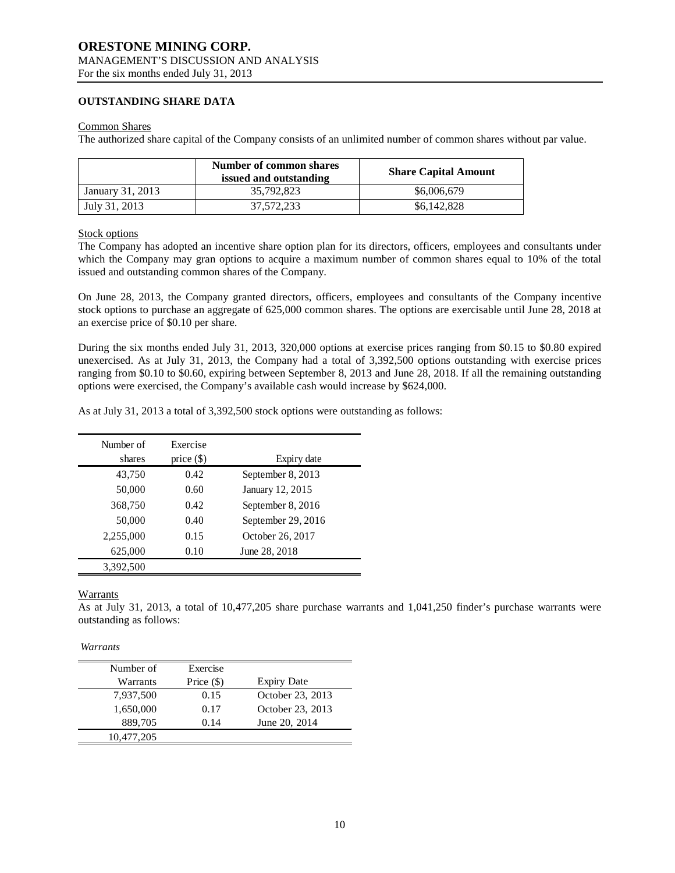### **OUTSTANDING SHARE DATA**

#### Common Shares

The authorized share capital of the Company consists of an unlimited number of common shares without par value.

|                  | Number of common shares<br>issued and outstanding | <b>Share Capital Amount</b> |
|------------------|---------------------------------------------------|-----------------------------|
| January 31, 2013 | 35,792,823                                        | \$6,006,679                 |
| July 31, 2013    | 37.572.233                                        | \$6,142,828                 |

### Stock options

The Company has adopted an incentive share option plan for its directors, officers, employees and consultants under which the Company may gran options to acquire a maximum number of common shares equal to 10% of the total issued and outstanding common shares of the Company.

On June 28, 2013, the Company granted directors, officers, employees and consultants of the Company incentive stock options to purchase an aggregate of 625,000 common shares. The options are exercisable until June 28, 2018 at an exercise price of \$0.10 per share.

During the six months ended July 31, 2013, 320,000 options at exercise prices ranging from \$0.15 to \$0.80 expired unexercised. As at July 31, 2013, the Company had a total of 3,392,500 options outstanding with exercise prices ranging from \$0.10 to \$0.60, expiring between September 8, 2013 and June 28, 2018. If all the remaining outstanding options were exercised, the Company's available cash would increase by \$624,000.

As at July 31, 2013 a total of 3,392,500 stock options were outstanding as follows:

| Number of<br>shares | Exercise     |                    |
|---------------------|--------------|--------------------|
|                     | price $(\$)$ | Expiry date        |
| 43,750              | 0.42         | September 8, 2013  |
| 50,000              | 0.60         | January 12, 2015   |
| 368,750             | 0.42         | September 8, 2016  |
| 50,000              | 0.40         | September 29, 2016 |
| 2,255,000           | 0.15         | October 26, 2017   |
| 625,000             | 0.10         | June 28, 2018      |
| 3.392.500           |              |                    |

### Warrants

As at July 31, 2013, a total of 10,477,205 share purchase warrants and 1,041,250 finder's purchase warrants were outstanding as follows:

*Warrants*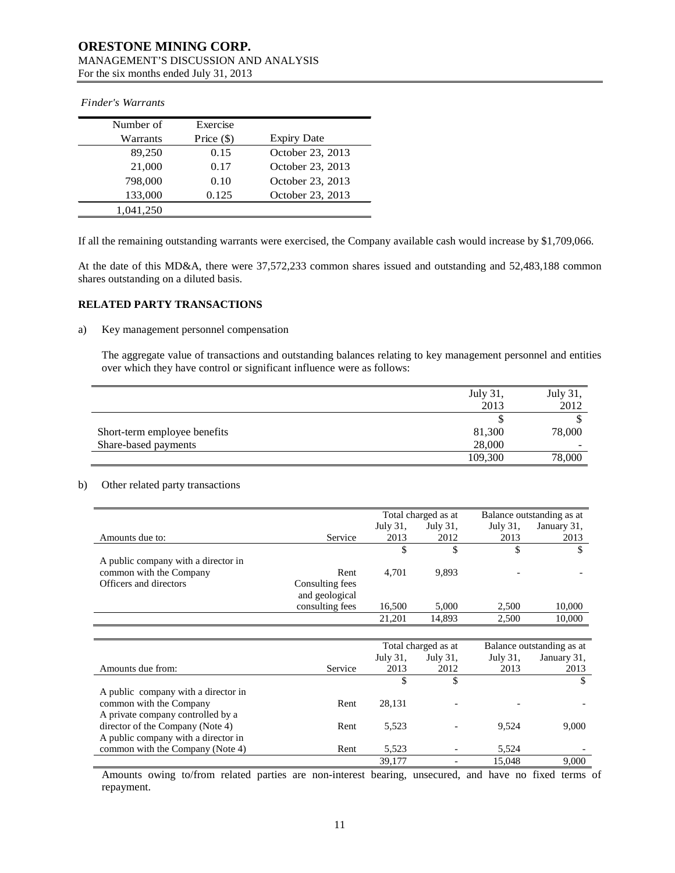| Number of | Exercise     |                    |
|-----------|--------------|--------------------|
| Warrants  | Price $(\$)$ | <b>Expiry Date</b> |
| 89,250    | 0.15         | October 23, 2013   |
| 21,000    | 0.17         | October 23, 2013   |
| 798,000   | 0.10         | October 23, 2013   |
| 133,000   | 0.125        | October 23, 2013   |
| 1.041.250 |              |                    |

#### *Finder's Warrants*

If all the remaining outstanding warrants were exercised, the Company available cash would increase by \$1,709,066.

At the date of this MD&A, there were 37,572,233 common shares issued and outstanding and 52,483,188 common shares outstanding on a diluted basis.

### **RELATED PARTY TRANSACTIONS**

a) Key management personnel compensation

The aggregate value of transactions and outstanding balances relating to key management personnel and entities over which they have control or significant influence were as follows:

|                              | July 31, | July 31, |
|------------------------------|----------|----------|
|                              | 2013     | 2012     |
|                              |          |          |
| Short-term employee benefits | 81,300   | 78,000   |
| Share-based payments         | 28,000   | -        |
|                              | 109,300  | 78,000   |

### b) Other related party transactions

|                                     |                 | Total charged as at |          | Balance outstanding as at |             |
|-------------------------------------|-----------------|---------------------|----------|---------------------------|-------------|
|                                     |                 | July 31,            | July 31, | July 31,                  | January 31, |
| Amounts due to:                     | Service         | 2013                | 2012     | 2013                      | 2013        |
|                                     |                 |                     |          |                           | S           |
| A public company with a director in |                 |                     |          |                           |             |
| common with the Company             | Rent            | 4.701               | 9.893    |                           |             |
| Officers and directors              | Consulting fees |                     |          |                           |             |
|                                     | and geological  |                     |          |                           |             |
|                                     | consulting fees | 16,500              | 5.000    | 2.500                     | 10,000      |
|                                     |                 | 21,201              | 14,893   | 2,500                     | 10,000      |

|                                     |         | Total charged as at |          | Balance outstanding as at |             |
|-------------------------------------|---------|---------------------|----------|---------------------------|-------------|
|                                     |         | July 31,            | July 31, | July 31,                  | January 31, |
| Amounts due from:                   | Service | 2013                | 2012     | 2013                      | 2013        |
|                                     |         |                     |          |                           |             |
| A public company with a director in |         |                     |          |                           |             |
| common with the Company             | Rent    | 28,131              |          |                           |             |
| A private company controlled by a   |         |                     |          |                           |             |
| director of the Company (Note 4)    | Rent    | 5,523               |          | 9.524                     | 9,000       |
| A public company with a director in |         |                     |          |                           |             |
| common with the Company (Note 4)    | Rent    | 5,523               |          | 5.524                     |             |
|                                     |         | 39.177              |          | 15.048                    | 9.000       |

Amounts owing to/from related parties are non-interest bearing, unsecured, and have no fixed terms of repayment.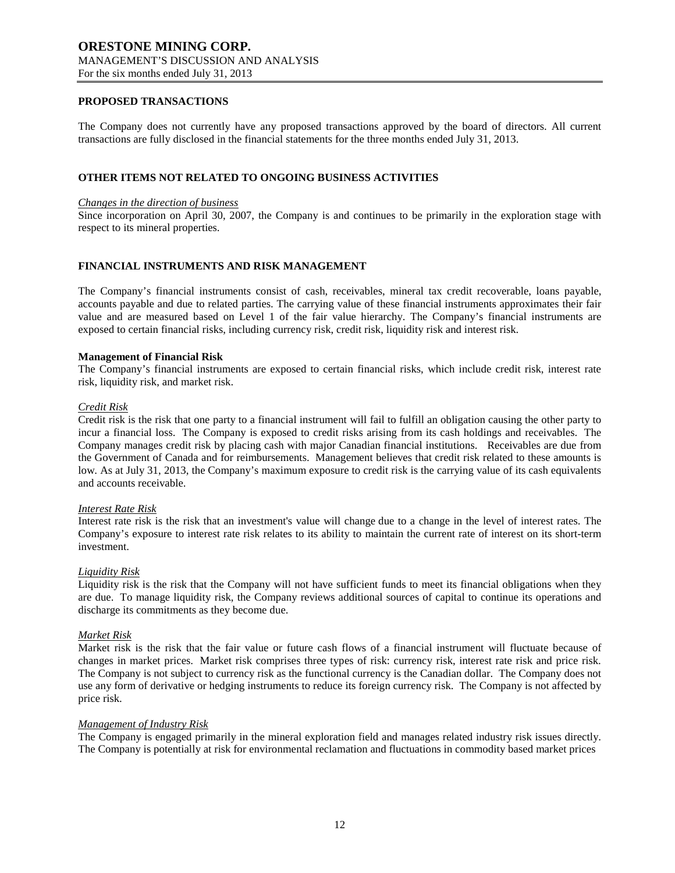#### **PROPOSED TRANSACTIONS**

The Company does not currently have any proposed transactions approved by the board of directors. All current transactions are fully disclosed in the financial statements for the three months ended July 31, 2013.

### **OTHER ITEMS NOT RELATED TO ONGOING BUSINESS ACTIVITIES**

#### *Changes in the direction of business*

Since incorporation on April 30, 2007, the Company is and continues to be primarily in the exploration stage with respect to its mineral properties.

### **FINANCIAL INSTRUMENTS AND RISK MANAGEMENT**

The Company's financial instruments consist of cash, receivables, mineral tax credit recoverable, loans payable, accounts payable and due to related parties. The carrying value of these financial instruments approximates their fair value and are measured based on Level 1 of the fair value hierarchy. The Company's financial instruments are exposed to certain financial risks, including currency risk, credit risk, liquidity risk and interest risk.

#### **Management of Financial Risk**

The Company's financial instruments are exposed to certain financial risks, which include credit risk, interest rate risk, liquidity risk, and market risk.

#### *Credit Risk*

Credit risk is the risk that one party to a financial instrument will fail to fulfill an obligation causing the other party to incur a financial loss. The Company is exposed to credit risks arising from its cash holdings and receivables. The Company manages credit risk by placing cash with major Canadian financial institutions. Receivables are due from the Government of Canada and for reimbursements. Management believes that credit risk related to these amounts is low. As at July 31, 2013, the Company's maximum exposure to credit risk is the carrying value of its cash equivalents and accounts receivable.

#### *Interest Rate Risk*

Interest rate risk is the risk that an investment's value will change due to a change in the level of interest rates. The Company's exposure to interest rate risk relates to its ability to maintain the current rate of interest on its short-term investment.

#### *Liquidity Risk*

Liquidity risk is the risk that the Company will not have sufficient funds to meet its financial obligations when they are due. To manage liquidity risk, the Company reviews additional sources of capital to continue its operations and discharge its commitments as they become due.

#### *Market Risk*

Market risk is the risk that the fair value or future cash flows of a financial instrument will fluctuate because of changes in market prices. Market risk comprises three types of risk: currency risk, interest rate risk and price risk. The Company is not subject to currency risk as the functional currency is the Canadian dollar. The Company does not use any form of derivative or hedging instruments to reduce its foreign currency risk. The Company is not affected by price risk.

#### *Management of Industry Risk*

The Company is engaged primarily in the mineral exploration field and manages related industry risk issues directly. The Company is potentially at risk for environmental reclamation and fluctuations in commodity based market prices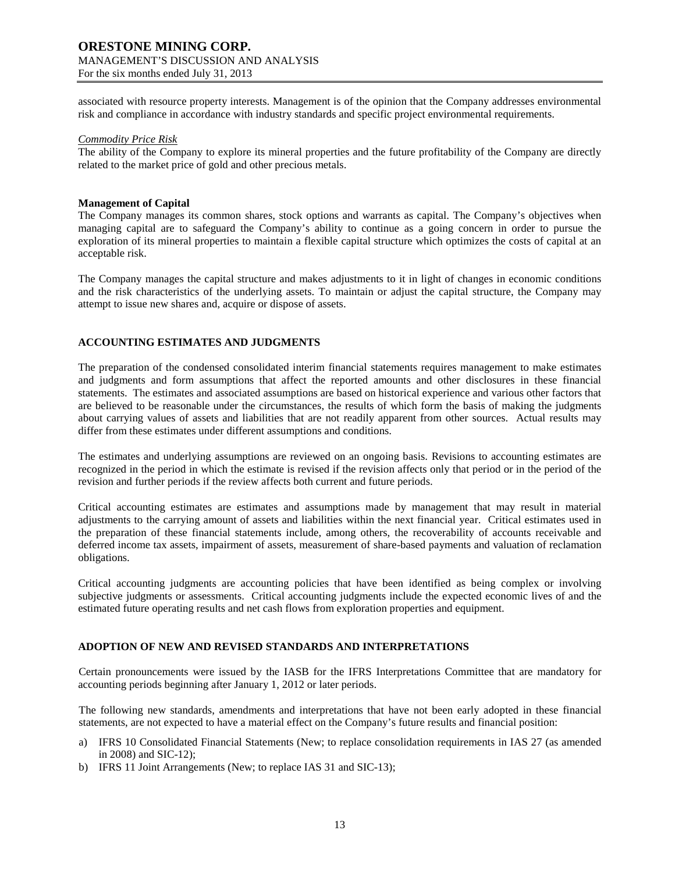## **ORESTONE MINING CORP.** MANAGEMENT'S DISCUSSION AND ANALYSIS

For the six months ended July 31, 2013

associated with resource property interests. Management is of the opinion that the Company addresses environmental risk and compliance in accordance with industry standards and specific project environmental requirements.

### *Commodity Price Risk*

The ability of the Company to explore its mineral properties and the future profitability of the Company are directly related to the market price of gold and other precious metals.

### **Management of Capital**

The Company manages its common shares, stock options and warrants as capital. The Company's objectives when managing capital are to safeguard the Company's ability to continue as a going concern in order to pursue the exploration of its mineral properties to maintain a flexible capital structure which optimizes the costs of capital at an acceptable risk.

The Company manages the capital structure and makes adjustments to it in light of changes in economic conditions and the risk characteristics of the underlying assets. To maintain or adjust the capital structure, the Company may attempt to issue new shares and, acquire or dispose of assets.

### **ACCOUNTING ESTIMATES AND JUDGMENTS**

The preparation of the condensed consolidated interim financial statements requires management to make estimates and judgments and form assumptions that affect the reported amounts and other disclosures in these financial statements. The estimates and associated assumptions are based on historical experience and various other factors that are believed to be reasonable under the circumstances, the results of which form the basis of making the judgments about carrying values of assets and liabilities that are not readily apparent from other sources. Actual results may differ from these estimates under different assumptions and conditions.

The estimates and underlying assumptions are reviewed on an ongoing basis. Revisions to accounting estimates are recognized in the period in which the estimate is revised if the revision affects only that period or in the period of the revision and further periods if the review affects both current and future periods.

Critical accounting estimates are estimates and assumptions made by management that may result in material adjustments to the carrying amount of assets and liabilities within the next financial year. Critical estimates used in the preparation of these financial statements include, among others, the recoverability of accounts receivable and deferred income tax assets, impairment of assets, measurement of share-based payments and valuation of reclamation obligations.

Critical accounting judgments are accounting policies that have been identified as being complex or involving subjective judgments or assessments. Critical accounting judgments include the expected economic lives of and the estimated future operating results and net cash flows from exploration properties and equipment.

### **ADOPTION OF NEW AND REVISED STANDARDS AND INTERPRETATIONS**

Certain pronouncements were issued by the IASB for the IFRS Interpretations Committee that are mandatory for accounting periods beginning after January 1, 2012 or later periods.

The following new standards, amendments and interpretations that have not been early adopted in these financial statements, are not expected to have a material effect on the Company's future results and financial position:

- a) IFRS 10 Consolidated Financial Statements (New; to replace consolidation requirements in IAS 27 (as amended in 2008) and SIC-12);
- b) IFRS 11 Joint Arrangements (New; to replace IAS 31 and SIC-13);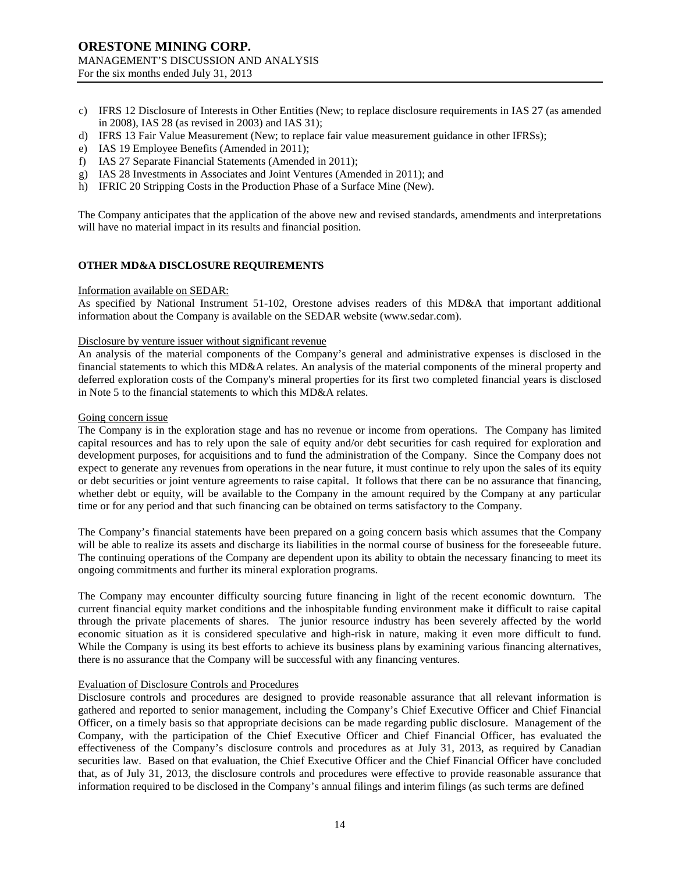- c) IFRS 12 Disclosure of Interests in Other Entities (New; to replace disclosure requirements in IAS 27 (as amended in 2008), IAS 28 (as revised in 2003) and IAS 31);
- d) IFRS 13 Fair Value Measurement (New; to replace fair value measurement guidance in other IFRSs);
- e) IAS 19 Employee Benefits (Amended in 2011);
- f) IAS 27 Separate Financial Statements (Amended in 2011);
- g) IAS 28 Investments in Associates and Joint Ventures (Amended in 2011); and
- h) IFRIC 20 Stripping Costs in the Production Phase of a Surface Mine (New).

The Company anticipates that the application of the above new and revised standards, amendments and interpretations will have no material impact in its results and financial position.

### **OTHER MD&A DISCLOSURE REQUIREMENTS**

#### Information available on SEDAR:

As specified by National Instrument 51-102, Orestone advises readers of this MD&A that important additional information about the Company is available on the SEDAR website (www.sedar.com).

### Disclosure by venture issuer without significant revenue

An analysis of the material components of the Company's general and administrative expenses is disclosed in the financial statements to which this MD&A relates. An analysis of the material components of the mineral property and deferred exploration costs of the Company's mineral properties for its first two completed financial years is disclosed in Note 5 to the financial statements to which this MD&A relates.

### Going concern issue

The Company is in the exploration stage and has no revenue or income from operations. The Company has limited capital resources and has to rely upon the sale of equity and/or debt securities for cash required for exploration and development purposes, for acquisitions and to fund the administration of the Company. Since the Company does not expect to generate any revenues from operations in the near future, it must continue to rely upon the sales of its equity or debt securities or joint venture agreements to raise capital. It follows that there can be no assurance that financing, whether debt or equity, will be available to the Company in the amount required by the Company at any particular time or for any period and that such financing can be obtained on terms satisfactory to the Company.

The Company's financial statements have been prepared on a going concern basis which assumes that the Company will be able to realize its assets and discharge its liabilities in the normal course of business for the foreseeable future. The continuing operations of the Company are dependent upon its ability to obtain the necessary financing to meet its ongoing commitments and further its mineral exploration programs.

The Company may encounter difficulty sourcing future financing in light of the recent economic downturn. The current financial equity market conditions and the inhospitable funding environment make it difficult to raise capital through the private placements of shares. The junior resource industry has been severely affected by the world economic situation as it is considered speculative and high-risk in nature, making it even more difficult to fund. While the Company is using its best efforts to achieve its business plans by examining various financing alternatives, there is no assurance that the Company will be successful with any financing ventures.

### Evaluation of Disclosure Controls and Procedures

Disclosure controls and procedures are designed to provide reasonable assurance that all relevant information is gathered and reported to senior management, including the Company's Chief Executive Officer and Chief Financial Officer, on a timely basis so that appropriate decisions can be made regarding public disclosure. Management of the Company, with the participation of the Chief Executive Officer and Chief Financial Officer, has evaluated the effectiveness of the Company's disclosure controls and procedures as at July 31, 2013, as required by Canadian securities law. Based on that evaluation, the Chief Executive Officer and the Chief Financial Officer have concluded that, as of July 31, 2013, the disclosure controls and procedures were effective to provide reasonable assurance that information required to be disclosed in the Company's annual filings and interim filings (as such terms are defined